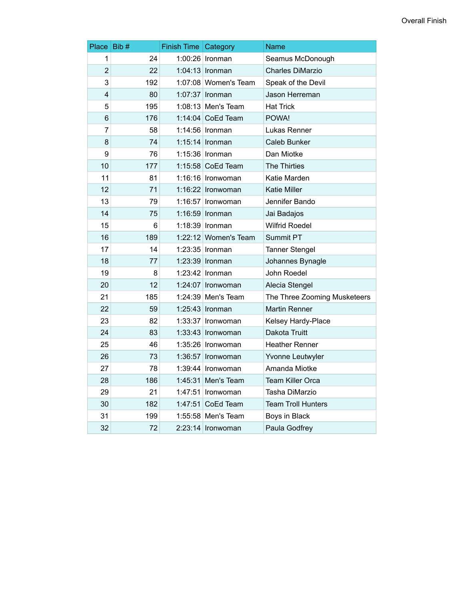| Place Bib #    |     | <b>Finish Time Category</b> |                        | Name                         |
|----------------|-----|-----------------------------|------------------------|------------------------------|
| 1              | 24  |                             | 1:00:26   Ironman      | Seamus McDonough             |
| $\overline{2}$ | 22  |                             | 1:04:13 Ironman        | <b>Charles DiMarzio</b>      |
| 3              | 192 |                             | $1:07:08$ Women's Team | Speak of the Devil           |
| 4              | 80  |                             | 1:07:37   Ironman      | Jason Herreman               |
| 5              | 195 |                             | $1:08:13$ Men's Team   | <b>Hat Trick</b>             |
| 6              | 176 |                             | 1:14:04 CoEd Team      | POWA!                        |
| $\overline{7}$ | 58  |                             | 1:14:56   Ironman      | Lukas Renner                 |
| 8              | 74  |                             | $1:15:14$ Ironman      | Caleb Bunker                 |
| 9              | 76  |                             | $1:15:36$ Ironman      | Dan Miotke                   |
| 10             | 177 |                             | 1:15:58 CoEd Team      | <b>The Thirties</b>          |
| 11             | 81  |                             | 1:16:16 Ironwoman      | Katie Marden                 |
| 12             | 71  |                             | 1:16:22 Ironwoman      | <b>Katie Miller</b>          |
| 13             | 79  |                             | 1:16:57   Ironwoman    | Jennifer Bando               |
| 14             | 75  |                             | $1:16:59$ Ironman      | Jai Badajos                  |
| 15             | 6   |                             | $1:18:39$ Ironman      | <b>Wilfrid Roedel</b>        |
| 16             | 189 |                             | 1:22:12 Women's Team   | Summit PT                    |
| 17             | 14  |                             | 1:23:35   Ironman      | <b>Tanner Stengel</b>        |
| 18             | 77  |                             | 1:23:39 Ironman        | Johannes Bynagle             |
| 19             | 8   |                             | $1:23:42$ ronman       | John Roedel                  |
| 20             | 12  |                             | 1:24:07   Ironwoman    | Alecia Stengel               |
| 21             | 185 |                             | 1:24:39 Men's Team     | The Three Zooming Musketeers |
| 22             | 59  |                             | 1:25:43   Ironman      | <b>Martin Renner</b>         |
| 23             | 82  |                             | 1:33:37   Ironwoman    | Kelsey Hardy-Place           |
| 24             | 83  |                             | 1:33:43 Ironwoman      | Dakota Truitt                |
| 25             | 46  |                             | 1:35:26   Ironwoman    | <b>Heather Renner</b>        |
| 26             | 73  |                             | $1:36:57$ Ironwoman    | Yvonne Leutwyler             |
| 27             | 78  |                             | 1:39:44   Ironwoman    | Amanda Miotke                |
| 28             | 186 |                             | $1:45:31$ Men's Team   | <b>Team Killer Orca</b>      |
| 29             | 21  |                             | $1:47:51$ Ironwoman    | Tasha DiMarzio               |
| 30             | 182 |                             | 1:47:51 CoEd Team      | <b>Team Troll Hunters</b>    |
| 31             | 199 |                             | 1:55:58 Men's Team     | Boys in Black                |
| 32             | 72  |                             | 2:23:14 Ironwoman      | Paula Godfrey                |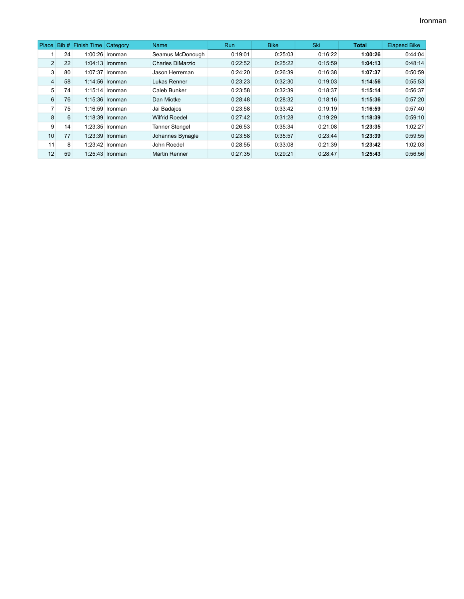|                |    | Place Bib # Finish Time Category |                   | Name                  | Run     | <b>Bike</b> | <b>Ski</b> | <b>Total</b> | <b>Elapsed Bike</b> |
|----------------|----|----------------------------------|-------------------|-----------------------|---------|-------------|------------|--------------|---------------------|
|                | 24 |                                  | $1:00:26$ Ironman | Seamus McDonough      | 0:19:01 | 0:25:03     | 0:16:22    | 1:00:26      | 0:44:04             |
| $\overline{2}$ | 22 |                                  | $1:04:13$ Ironman | Charles DiMarzio      | 0:22:52 | 0:25:22     | 0:15:59    | 1:04:13      | 0:48:14             |
| 3 <sup>1</sup> | 80 |                                  | $1:07:37$ Ironman | Jason Herreman        | 0:24:20 | 0:26:39     | 0:16:38    | 1:07:37      | 0:50:59             |
| 4              | 58 |                                  | 1:14:56 Ironman   | Lukas Renner          | 0:23:23 | 0:32:30     | 0:19:03    | 1:14:56      | 0:55:53             |
| 5              | 74 |                                  | $1:15:14$ Ironman | Caleb Bunker          | 0:23:58 | 0:32:39     | 0:18:37    | 1:15:14      | 0:56:37             |
| 6              | 76 |                                  | $1:15:36$ Ironman | Dan Miotke            | 0:28:48 | 0:28:32     | 0:18:16    | 1:15:36      | 0:57:20             |
| $\overline{7}$ | 75 |                                  | $1:16:59$ Ironman | Jai Badajos           | 0:23:58 | 0:33:42     | 0:19:19    | 1:16:59      | 0:57:40             |
| 8              | 6  |                                  | $1:18:39$ Ironman | <b>Wilfrid Roedel</b> | 0:27:42 | 0:31:28     | 0:19:29    | 1:18:39      | 0:59:10             |
| 9              | 14 |                                  | $1:23:35$ Ironman | <b>Tanner Stengel</b> | 0:26:53 | 0:35:34     | 0:21:08    | 1:23:35      | 1:02:27             |
| 10             | 77 |                                  | 1:23:39 Ironman   | Johannes Bynagle      | 0:23:58 | 0:35:57     | 0:23:44    | 1:23:39      | 0:59:55             |
| 11             | 8  |                                  | $1:23:42$ Ironman | John Roedel           | 0:28:55 | 0:33:08     | 0:21:39    | 1:23:42      | 1:02:03             |
| 12             | 59 |                                  | $1:25:43$ Ironman | <b>Martin Renner</b>  | 0:27:35 | 0:29:21     | 0:28:47    | 1:25:43      | 0:56:56             |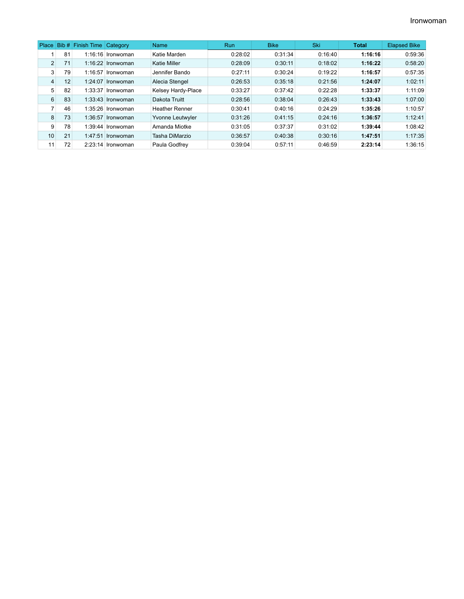| Place          |    | Bib # Finish Time Category |                     | <b>Name</b>           | <b>Run</b> | <b>Bike</b> | <b>Ski</b> | <b>Total</b> | <b>Elapsed Bike</b> |
|----------------|----|----------------------------|---------------------|-----------------------|------------|-------------|------------|--------------|---------------------|
|                | 81 |                            | $1:16:16$ Ironwoman | Katie Marden          | 0:28:02    | 0:31:34     | 0:16:40    | 1:16:16      | 0:59:36             |
| $\overline{2}$ | 71 |                            | $1:16:22$ Ironwoman | <b>Katie Miller</b>   | 0:28:09    | 0:30:11     | 0:18:02    | 1:16:22      | 0:58:20             |
| 3              | 79 |                            | $1:16:57$ Ironwoman | Jennifer Bando        | 0:27:11    | 0:30:24     | 0:19:22    | 1:16:57      | 0:57:35             |
| 4              | 12 |                            | $1:24:07$ Ironwoman | Alecia Stengel        | 0:26:53    | 0:35:18     | 0:21:56    | 1:24:07      | 1:02:11             |
| 5              | 82 |                            | $1:33:37$ Ironwoman | Kelsey Hardy-Place    | 0:33:27    | 0:37:42     | 0:22:28    | 1:33:37      | 1:11:09             |
| 6              | 83 |                            | $1:33:43$ Ironwoman | Dakota Truitt         | 0:28:56    | 0:38:04     | 0:26:43    | 1:33:43      | 1:07:00             |
| 7              | 46 |                            | 1:35:26 Ironwoman   | <b>Heather Renner</b> | 0:30:41    | 0:40:16     | 0:24:29    | 1:35:26      | 1:10:57             |
| 8              | 73 |                            | $1:36:57$ Ironwoman | Yvonne Leutwyler      | 0:31:26    | 0:41:15     | 0:24:16    | 1:36:57      | 1:12:41             |
| 9              | 78 |                            | $1:39:44$ Ironwoman | Amanda Miotke         | 0:31:05    | 0:37:37     | 0:31:02    | 1:39:44      | 1:08:42             |
| 10             | 21 |                            | $1:47:51$ Ironwoman | Tasha DiMarzio        | 0:36:57    | 0:40:38     | 0:30:16    | 1:47:51      | 1:17:35             |
| 11             | 72 |                            | $2:23:14$ Ironwoman | Paula Godfrey         | 0:39:04    | 0:57:11     | 0:46:59    | 2:23:14      | 1:36:15             |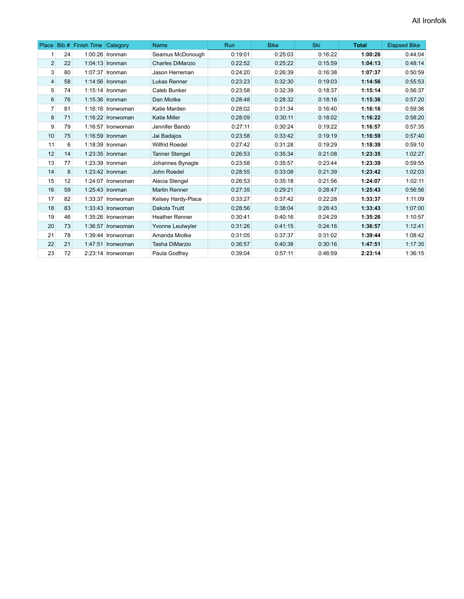|                |    | Place Bib # Finish Time Category |                     | Name                    | <b>Run</b> | <b>Bike</b> | Ski     | <b>Total</b> | <b>Elapsed Bike</b> |
|----------------|----|----------------------------------|---------------------|-------------------------|------------|-------------|---------|--------------|---------------------|
|                | 24 |                                  | $1:00:26$ Ironman   | Seamus McDonough        | 0:19:01    | 0:25:03     | 0:16:22 | 1:00:26      | 0:44:04             |
| $\overline{2}$ | 22 |                                  | $1:04:13$ Ironman   | <b>Charles DiMarzio</b> | 0:22:52    | 0:25:22     | 0:15:59 | 1:04:13      | 0:48:14             |
| 3              | 80 |                                  | 1:07:37   Ironman   | Jason Herreman          | 0:24:20    | 0:26:39     | 0:16:38 | 1:07:37      | 0:50:59             |
| $\overline{4}$ | 58 |                                  | $1:14:56$ Ironman   | Lukas Renner            | 0:23:23    | 0:32:30     | 0:19:03 | 1:14:56      | 0:55:53             |
| 5              | 74 |                                  | $1:15:14$ Ironman   | Caleb Bunker            | 0:23:58    | 0:32:39     | 0:18:37 | 1:15:14      | 0:56:37             |
| 6              | 76 |                                  | 1:15:36 Ironman     | Dan Miotke              | 0:28:48    | 0:28:32     | 0:18:16 | 1:15:36      | 0:57:20             |
| 7              | 81 |                                  | 1:16:16 Ironwoman   | Katie Marden            | 0:28:02    | 0:31:34     | 0:16:40 | 1:16:16      | 0:59:36             |
| 8              | 71 |                                  | 1:16:22 Ironwoman   | <b>Katie Miller</b>     | 0:28:09    | 0:30:11     | 0:18:02 | 1:16:22      | 0:58:20             |
| 9              | 79 |                                  | $1:16:57$ Ironwoman | Jennifer Bando          | 0:27:11    | 0:30:24     | 0:19:22 | 1:16:57      | 0:57:35             |
| 10             | 75 |                                  | 1:16:59 Ironman     | Jai Badajos             | 0:23:58    | 0:33:42     | 0:19:19 | 1:16:59      | 0:57:40             |
| 11             | 6  |                                  | $1:18:39$ Ironman   | <b>Wilfrid Roedel</b>   | 0:27:42    | 0:31:28     | 0:19:29 | 1:18:39      | 0:59:10             |
| 12             | 14 |                                  | $1:23:35$ Ironman   | <b>Tanner Stengel</b>   | 0:26:53    | 0:35:34     | 0:21:08 | 1:23:35      | 1:02:27             |
| 13             | 77 |                                  | $1:23:39$ Ironman   | Johannes Bynagle        | 0:23:58    | 0:35:57     | 0:23:44 | 1:23:39      | 0:59:55             |
| 14             | 8  |                                  | 1:23:42 Ironman     | John Roedel             | 0:28:55    | 0:33:08     | 0:21:39 | 1:23:42      | 1:02:03             |
| 15             | 12 |                                  | 1:24:07 Ironwoman   | Alecia Stengel          | 0:26:53    | 0:35:18     | 0:21:56 | 1:24:07      | 1:02:11             |
| 16             | 59 |                                  | $1:25:43$ Ironman   | <b>Martin Renner</b>    | 0:27:35    | 0:29:21     | 0:28:47 | 1:25:43      | 0:56:56             |
| 17             | 82 |                                  | $1:33:37$ Ironwoman | Kelsey Hardy-Place      | 0:33:27    | 0:37:42     | 0:22:28 | 1:33:37      | 1:11:09             |
| 18             | 83 |                                  | $1:33:43$ Ironwoman | Dakota Truitt           | 0:28:56    | 0:38:04     | 0:26:43 | 1:33:43      | 1:07:00             |
| 19             | 46 |                                  | 1:35:26 Ironwoman   | <b>Heather Renner</b>   | 0:30:41    | 0:40:16     | 0:24:29 | 1:35:26      | 1:10:57             |
| 20             | 73 |                                  | 1:36:57 Ironwoman   | Yvonne Leutwyler        | 0:31:26    | 0:41:15     | 0:24:16 | 1:36:57      | 1:12:41             |
| 21             | 78 |                                  | 1:39:44 Ironwoman   | Amanda Miotke           | 0:31:05    | 0:37:37     | 0:31:02 | 1:39:44      | 1:08:42             |
| 22             | 21 |                                  | 1:47:51 Ironwoman   | Tasha DiMarzio          | 0:36:57    | 0:40:38     | 0:30:16 | 1:47:51      | 1:17:35             |
| 23             | 72 |                                  | 2:23:14 Ironwoman   | Paula Godfrey           | 0:39:04    | 0:57:11     | 0:46:59 | 2:23:14      | 1:36:15             |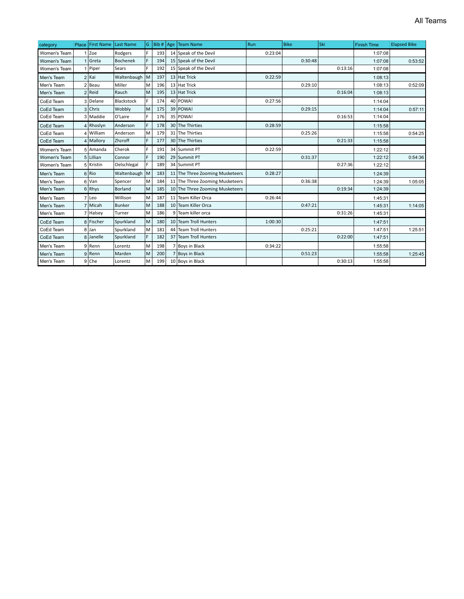| category            |                | Place   First Name | <b>Last Name</b> | G. | Bib# | Age | Team Name                       | Run     | <b>Bike</b> | Ski     | <b>Finish Time</b> | <b>Elapsed Bike</b> |
|---------------------|----------------|--------------------|------------------|----|------|-----|---------------------------------|---------|-------------|---------|--------------------|---------------------|
| Women's Team        | $\mathbf{1}$   | <b>Zoe</b>         | Rodgers          | F. | 193  |     | 14 Speak of the Devil           | 0:23:04 |             |         | 1:07:08            |                     |
| <b>Women's Team</b> |                | <b>Greta</b>       | <b>Bochenek</b>  | F. | 194  |     | 15 Speak of the Devil           |         | 0:30:48     |         | 1:07:08            | 0:53:52             |
| Women's Team        |                | Piper              | Sears            | F  | 192  |     | 15 Speak of the Devil           |         |             | 0:13:16 | 1:07:08            |                     |
| Men's Team          |                | $2$ Kai            | Waltenbaugh      | lм | 197  |     | 13 Hat Trick                    | 0:22:59 |             |         | 1:08:13            |                     |
| Men's Team          | $\overline{2}$ | l Beau             | Miller           | M  | 196  |     | 13 Hat Trick                    |         | 0:29:10     |         | 1:08:13            | 0:52:09             |
| Men's Team          | $\overline{2}$ | Reid               | Rauch            | lм | 195  |     | 13 Hat Trick                    |         |             | 0:16:04 | 1:08:13            |                     |
| CoEd Team           |                | 3 Delane           | Blackstock       | F. | 174  |     | 40 POWA!                        | 0:27:56 |             |         | 1:14:04            |                     |
| CoEd Team           |                | 3 Chris            | Wobbly           | M  | 175  |     | 39 POWA!                        |         | 0:29:15     |         | 1:14:04            | 0:57:11             |
| CoEd Team           |                | 3 Maddie           | O'Laire          | F. | 176  |     | 35 POWA!                        |         |             | 0:16:53 | 1:14:04            |                     |
| CoEd Team           |                | Rhoslyn            | Anderson         | F. | 178  |     | 30 The Thirties                 | 0:28:59 |             |         | 1:15:58            |                     |
| CoEd Team           |                | 4 William          | Anderson         | M  | 179  |     | 31 The Thirties                 |         | 0:25:26     |         | 1:15:58            | 0:54:25             |
| CoEd Team           |                | 4 Mallory          | Zhzroff          | F. | 177  |     | 30 The Thirties                 |         |             | 0:21:33 | 1:15:58            |                     |
| Women's Team        |                | 5 Amanda           | Cherok           | F. | 191  |     | 34 Summit PT                    | 0:22:59 |             |         | 1:22:12            |                     |
| Women's Team        |                | 5 Lillian          | Connor           | F. | 190  |     | 29 Summit PT                    |         | 0:31:37     |         | 1:22:12            | 0:54:36             |
| Women's Team        |                | 5 Kristin          | Oelschlegal      | F. | 189  |     | 34 Summit PT                    |         |             | 0:27:36 | 1:22:12            |                     |
| Men's Team          |                | 6Rio               | Waltenbaugh      | İм | 183  |     | 11 The Three Zooming Musketeers | 0:28:27 |             |         | 1:24:39            |                     |
| Men's Team          |                | 6 Van              | Spencer          | M  | 184  |     | 11 The Three Zooming Musketeers |         | 0:36:38     |         | 1:24:39            | 1:05:05             |
| Men's Team          |                | 6 Rhys             | Borland          | lм | 185  |     | 10 The Three Zooming Musketeers |         |             | 0:19:34 | 1:24:39            |                     |
| Men's Team          |                | 7 Leo              | Willison         | M  | 187  |     | 11 Team Killer Orca             | 0:26:44 |             |         | 1:45:31            |                     |
| Men's Team          | $\overline{7}$ | Micah              | <b>Bunker</b>    | M  | 188  |     | 10 Team Killer Orca             |         | 0:47:21     |         | 1:45:31            | 1:14:05             |
| Men's Team          | $\overline{7}$ | Halsey             | Turner           | M  | 186  |     | 9 Team killer orca              |         |             | 0:31:26 | 1:45:31            |                     |
| CoEd Team           |                | 8 Fischer          | Spurkland        | M  | 180  |     | 10 Team Troll Hunters           | 1:00:30 |             |         | 1:47:51            |                     |
| CoEd Team           |                | 8 Jan              | Spurkland        | M  | 181  |     | 44 Team Troll Hunters           |         | 0:25:21     |         | 1:47:51            | 1:25:51             |
| CoEd Team           |                | 8 Janelle          | Spurkland        | F  | 182  |     | 37 Team Troll Hunters           |         |             | 0:22:00 | 1:47:51            |                     |
| Men's Team          |                | 9 Renn             | Lorentz          | M  | 198  |     | Boys in Black                   | 0:34:22 |             |         | 1:55:58            |                     |
| Men's Team          | 9              | Renn               | Marden           | M  | 200  |     | <b>Boys in Black</b>            |         | 0:51:23     |         | 1:55:58            | 1:25:45             |
| Men's Team          |                | 9 Che              | Lorentz          | M  | 199  |     | 10 Boys in Black                |         |             | 0:30:13 | 1:55:58            |                     |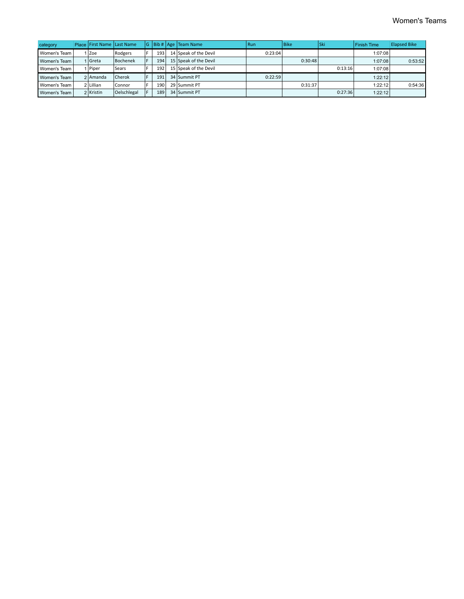| category       | Place First Name Last Name |               |    |     | G   Bib #   Age   Team Name | Run     | l Bike  | <b>Ski</b> | <b>Finish Time</b> | <b>Elapsed Bike</b> |
|----------------|----------------------------|---------------|----|-----|-----------------------------|---------|---------|------------|--------------------|---------------------|
| Women's Team   | Zoe                        | Rodgers       |    | 193 | 14 Speak of the Devil       | 0:23:04 |         |            | 1:07:08            |                     |
| Women's Team   | I   Greta                  | Bochenek      |    | 194 | 15 Speak of the Devil       |         | 0:30:48 |            | 1:07:08            | 0:53:52             |
| Women's Team   | ∣   Piper                  | Sears         |    | 192 | 15 Speak of the Devil       |         |         | 0:13:16    | 1:07:08            |                     |
| Women's Team I | 2 Amanda                   | <b>Cherok</b> |    | 191 | 34 Summit PT                | 0:22:59 |         |            | 1:22:12            |                     |
| Women's Team   | 2 Lillian                  | Connor        |    | 190 | 29 Summit PT                |         | 0:31:37 |            | 1:22:12            | 0:54:36             |
| Women's Team   | 2 Kristin                  | Oelschlegal   | F. | 189 | 34 Summit PT                |         |         | 0:27:36    | 1:22:12            |                     |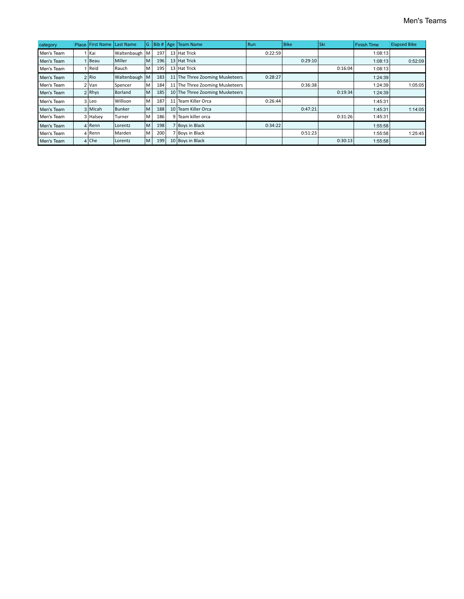| category   | Place | <b>First Name</b> | Last Name     | G. | Bib #   Age |    | Team Name                       | <b>Run</b> | <b>Bike</b> | l Ski   | <b>Finish Time</b> | <b>Elapsed Bike</b> |
|------------|-------|-------------------|---------------|----|-------------|----|---------------------------------|------------|-------------|---------|--------------------|---------------------|
| Men's Team |       | l Kai             | Waltenbaugh   | M  | 197         |    | 13 Hat Trick                    | 0:22:59    |             |         | 1:08:13            |                     |
| Men's Team |       | Beau              | Miller        | M  | 196         |    | 13 Hat Trick                    |            | 0:29:10     |         | 1:08:13            | 0:52:09             |
| Men's Team |       | Reid              | Rauch         | M  | 195         |    | 13 Hat Trick                    |            |             | 0:16:04 | 1:08:13            |                     |
| Men's Team |       | 2 Rio             | Waltenbaugh   | M  | 183         |    | 11 The Three Zooming Musketeers | 0:28:27    |             |         | 1:24:39            |                     |
| Men's Team |       | 2   Van           | Spencer       | M  | 184         |    | 11 The Three Zooming Musketeers |            | 0:36:38     |         | 1:24:39            | 1:05:05             |
| Men's Team |       | $2$ Rhys          | Borland       | M  | 185         |    | 10 The Three Zooming Musketeers |            |             | 0:19:34 | 1:24:39            |                     |
| Men's Team |       | 3 Leo             | Willison      | M  | 187         | 11 | Fream Killer Orca               | 0:26:44    |             |         | 1:45:31            |                     |
| Men's Team |       | 3   Micah         | <b>Bunker</b> | M  | 188         |    | 10 Team Killer Orca             |            | 0:47:21     |         | 1:45:31            | 1:14:05             |
| Men's Team |       | 3 Halsey          | Turner        | M  | 186         |    | Team killer orca                |            |             | 0:31:26 | 1:45:31            |                     |
| Men's Team |       | 4   Renn          | Lorentz       | M  | 198         |    | Boys in Black                   | 0:34:22    |             |         | 1:55:58            |                     |
| Men's Team |       | l Renn            | Marden        | M  | 200         |    | Boys in Black                   |            | 0:51:23     |         | 1:55:58            | 1:25:45             |
| Men's Team |       | $4 $ Che          | Lorentz       | M  | 199         |    | 10 Boys in Black                |            |             | 0:30:13 | 1:55:58            |                     |